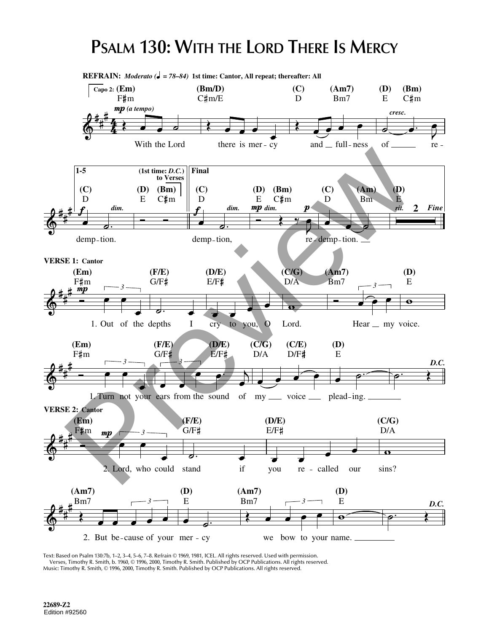## **PSALM 130: WITH THE LORD THERE IS MERCY**



Text: Based on Psalm 130:7b, 1–2, 3–4, 5–6, 7–8. Refrain © 1969, 1981, ICEL. All rights reserved. Used with permission. Verses, Timothy R. Smith, b. 1960, © 1996, 2000, Timothy R. Smith. Published by OCP Publications. All rights reserved. Music: Timothy R. Smith, © 1996, 2000, Timothy R. Smith. Published by OCP Publications. All rights reserved.